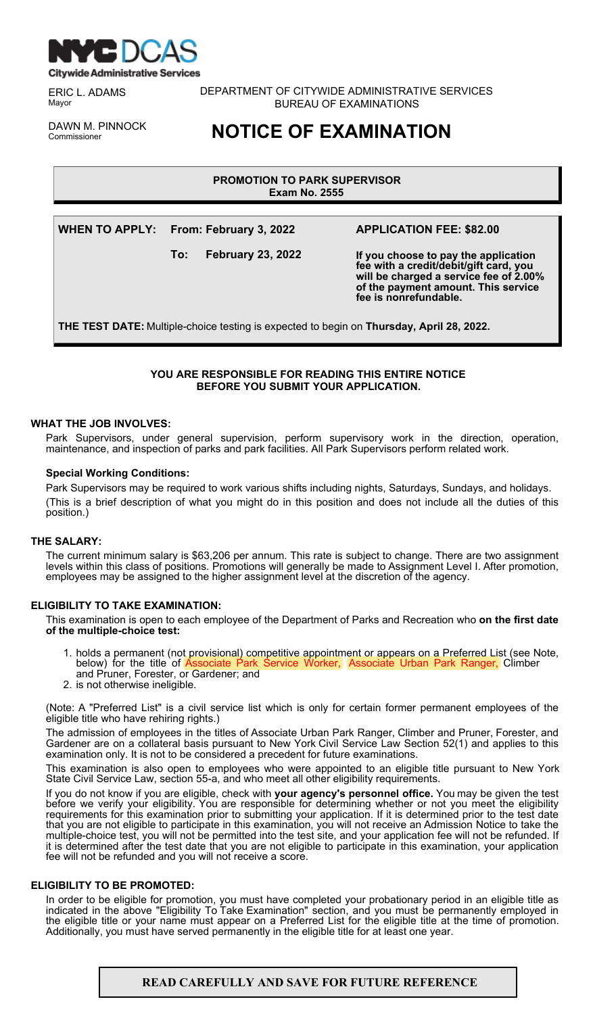

ERIC L. ADAMS Mayor

DEPARTMENT OF CITYWIDE ADMINISTRATIVE SERVICES BUREAU OF EXAMINATIONS

DAWN M. PINNOCK

**NOTICE OF EXAMINATION** 

# **PROMOTION TO PARK SUPERVISOR Exam No. 2555**

**WHEN TO APPLY: From: February 3, 2022**

**To: February 23, 2022**

# **APPLICATION FEE: \$82.00**

**If you choose to pay the application fee with a credit/debit/gift card, you will be charged a service fee of 2.00% of the payment amount. This service fee is nonrefundable.**

**THE TEST DATE:** Multiple-choice testing is expected to begin on **Thursday, April 28, 2022.**

# **YOU ARE RESPONSIBLE FOR READING THIS ENTIRE NOTICE BEFORE YOU SUBMIT YOUR APPLICATION.**

# **WHAT THE JOB INVOLVES:**

Park Supervisors, under general supervision, perform supervisory work in the direction, operation, maintenance, and inspection of parks and park facilities. All Park Supervisors perform related work.

### **Special Working Conditions:**

Park Supervisors may be required to work various shifts including nights, Saturdays, Sundays, and holidays. (This is a brief description of what you might do in this position and does not include all the duties of this position.)

### **THE SALARY:**

The current minimum salary is \$63,206 per annum. This rate is subject to change. There are two assignment levels within this class of positions. Promotions will generally be made to Assignment Level I. After promotion, employees may be assigned to the higher assignment level at the discretion of the agency.

# **ELIGIBILITY TO TAKE EXAMINATION:**

This examination is open to each employee of the Department of Parks and Recreation who **on the first date of the multiple-choice test:**

- 1. holds a permanent (not provisional) competitive appointment or appears on a Preferred List (see Note, ervice Worker, Associate Urban Park Ranger, Climber below) for the title of **Associate Park**<br>and Pruner, Forester, or Gardener; and
- 2. is not otherwise ineligible.

(Note: A "Preferred List" is a civil service list which is only for certain former permanent employees of the eligible title who have rehiring rights.)

The admission of employees in the titles of Associate Urban Park Ranger, Climber and Pruner, Forester, and Gardener are on a collateral basis pursuant to New York Civil Service Law Section 52(1) and applies to this examination only. It is not to be considered a precedent for future examinations.

This examination is also open to employees who were appointed to an eligible title pursuant to New York State Civil Service Law, section 55-a, and who meet all other eligibility requirements.

If you do not know if you are eligible, check with **your agency's personnel office.** You may be given the test before we verify your eligibility. You are responsible for determining whether or not you meet the eligibility requirements for this examination prior to submitting your application. If it is determined prior to the test date that you are not eligible to participate in this examination, you will not receive an Admission Notice to take the multiple-choice test, you will not be permitted into the test site, and your application fee will not be refunded. If it is determined after the test date that you are not eligible to participate in this examination, your application fee will not be refunded and you will not receive a score.

### **ELIGIBILITY TO BE PROMOTED:**

In order to be eligible for promotion, you must have completed your probationary period in an eligible title as indicated in the above "Eligibility To Take Examination" section, and you must be permanently employed in the eligible title or your name must appear on a Preferred List for the eligible title at the time of promotion. Additionally, you must have served permanently in the eligible title for at least one year.

# **READ CAREFULLY AND SAVE FOR FUTURE REFERENCE**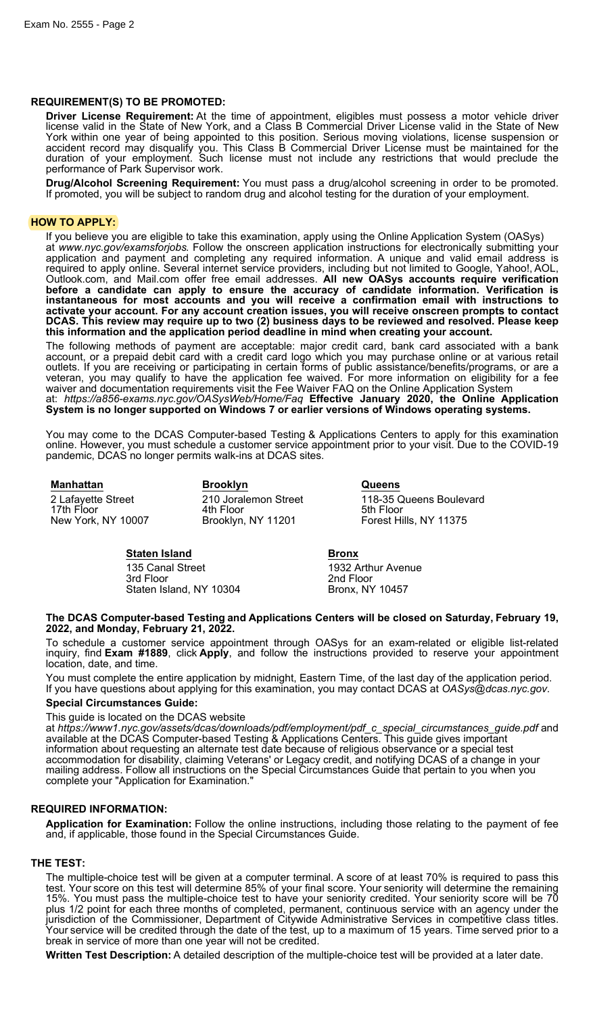# **REQUIREMENT(S) TO BE PROMOTED:**

**Driver License Requirement:** At the time of appointment, eligibles must possess a motor vehicle driver license valid in the State of New York, and a Class B Commercial Driver License valid in the State of New York within one year of being appointed to this position. Serious moving violations, license suspension or accident record may disqualify you. This Class B Commercial Driver License must be maintained for the duration of your employment. Such license must not include any restrictions that would preclude the performance of Park Supervisor work.

**Drug/Alcohol Screening Requirement:** You must pass a drug/alcohol screening in order to be promoted. If promoted, you will be subject to random drug and alcohol testing for the duration of your employment.

### **HOW TO APPLY:**

If you believe you are eligible to take this examination, apply using the Online Application System (OASys) at *www.nyc.gov/examsforjobs*. Follow the onscreen application instructions for electronically submitting your application and payment and completing any required information. A unique and valid email address is required to apply online. Several internet service providers, including but not limited to Google, Yahoo!, AOL, Outlook.com, and Mail.com offer free email addresses. **All new OASys accounts require verification before a candidate can apply to ensure the accuracy of candidate information. Verification is instantaneous for most accounts and you will receive a confirmation email with instructions to activate your account. For any account creation issues, you will receive onscreen prompts to contact DCAS. This review may require up to two (2) business days to be reviewed and resolved. Please keep this information and the application period deadline in mind when creating your account.**

The following methods of payment are acceptable: major credit card, bank card associated with a bank account, or a prepaid debit card with a credit card logo which you may purchase online or at various retail outlets. If you are receiving or participating in certain forms of public assistance/benefits/programs, or are a veteran, you may qualify to have the application fee waived. For more information on eligibility for a fee waiver and documentation requirements visit the Fee Waiver FAQ on the Online Application System at: *https://a856-exams.nyc.gov/OASysWeb/Home/Faq* **Effective January 2020, the Online Application System is no longer supported on Windows 7 or earlier versions of Windows operating systems.**

You may come to the DCAS Computer-based Testing & Applications Centers to apply for this examination online. However, you must schedule a customer service appointment prior to your visit. Due to the COVID-19 pandemic, DCAS no longer permits walk-ins at DCAS sites.

**Manhattan Brooklyn Queens** 17th Floor 11th Floor<br>11201 New York, NY 10007 11800 Brooklyn, NY 11201

2 Lafayette Street 210 Joralemon Street 118-35 Queens Boulevard<br>17th Floor 17th Floor 118-00 Forest Hills, NY 11375

# **Staten Island Bronx**

135 Canal Street 1932 Arthur Avenue<br>1932 Arthur Avenue<br>2nd Floor Staten Island, NY 10304

2nd Floor<br>Bronx, NY 10457

### **The DCAS Computer-based Testing and Applications Centers will be closed on Saturday, February 19, 2022, and Monday, February 21, 2022.**

To schedule a customer service appointment through OASys for an exam-related or eligible list-related inquiry, find **Exam #1889**, click **Apply**, and follow the instructions provided to reserve your appointment location, date, and time.

You must complete the entire application by midnight, Eastern Time, of the last day of the application period. If you have questions about applying for this examination, you may contact DCAS at *OASys@dcas.nyc.gov*.

### **Special Circumstances Guide:**

This guide is located on the DCAS website

at *https://www1.nyc.gov/assets/dcas/downloads/pdf/employment/pdf\_c\_special\_circumstances\_guide.pdf* and available at the DCAS Computer-based Testing & Applications Centers. This guide gives important information about requesting an alternate test date because of religious observance or a special test accommodation for disability, claiming Veterans' or Legacy credit, and notifying DCAS of a change in your mailing address. Follow all instructions on the Special Circumstances Guide that pertain to you when you complete your "Application for Examination."

### **REQUIRED INFORMATION:**

**Application for Examination:** Follow the online instructions, including those relating to the payment of fee and, if applicable, those found in the Special Circumstances Guide.

# **THE TEST:**

The multiple-choice test will be given at a computer terminal. A score of at least 70% is required to pass this test. Your score on this test will determine 85% of your final score. Your seniority will determine the remaining 15%. You must pass the multiple-choice test to have your seniority credited. Your seniority score will be 70 plus 1/2 point for each three months of completed, permanent, continuous service with an agency under the jurisdiction of the Commissioner, Department of Citywide Administrative Services in competitive class titles. Your service will be credited through the date of the test, up to a maximum of 15 years. Time served prior to a break in service of more than one year will not be credited.

**Written Test Description:** A detailed description of the multiple-choice test will be provided at a later date.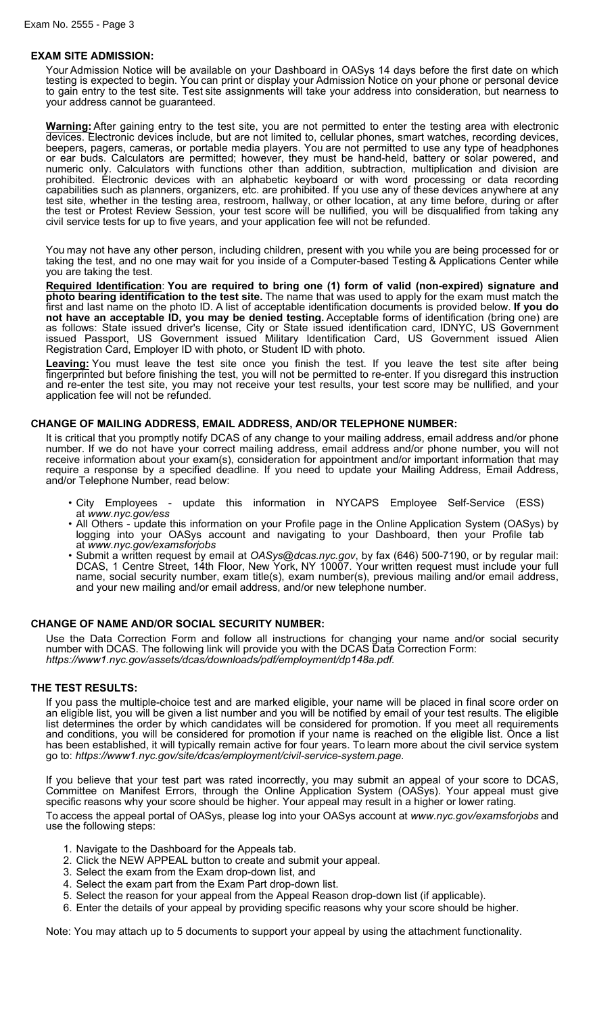### **EXAM SITE ADMISSION:**

Your Admission Notice will be available on your Dashboard in OASys 14 days before the first date on which testing is expected to begin. You can print or display your Admission Notice on your phone or personal device to gain entry to the test site. Test site assignments will take your address into consideration, but nearness to your address cannot be guaranteed.

**Warning:** After gaining entry to the test site, you are not permitted to enter the testing area with electronic devices. Electronic devices include, but are not limited to, cellular phones, smart watches, recording devices, beepers, pagers, cameras, or portable media players. You are not permitted to use any type of headphones or ear buds. Calculators are permitted; however, they must be hand-held, battery or solar powered, and numeric only. Calculators with functions other than addition, subtraction, multiplication and division are prohibited. Electronic devices with an alphabetic keyboard or with word processing or data recording capabilities such as planners, organizers, etc. are prohibited. If you use any of these devices anywhere at any test site, whether in the testing area, restroom, hallway, or other location, at any time before, during or after the test or Protest Review Session, your test score will be nullified, you will be disqualified from taking any civil service tests for up to five years, and your application fee will not be refunded.

You may not have any other person, including children, present with you while you are being processed for or taking the test, and no one may wait for you inside of a Computer-based Testing & Applications Center while you are taking the test.

**Required Identification**: **You are required to bring one (1) form of valid (non-expired) signature and photo bearing identification to the test site.** The name that was used to apply for the exam must match the first and last name on the photo ID. A list of acceptable identification documents is provided below. **If you do not have an acceptable ID, you may be denied testing.** Acceptable forms of identification (bring one) are as follows: State issued driver's license, City or State issued identification card, IDNYC, US Government issued Passport, US Government issued Military Identification Card, US Government issued Alien Registration Card, Employer ID with photo, or Student ID with photo.

**Leaving:** You must leave the test site once you finish the test. If you leave the test site after being fingerprinted but before finishing the test, you will not be permitted to re-enter. If you disregard this instruction and re-enter the test site, you may not receive your test results, your test score may be nullified, and your application fee will not be refunded.

# **CHANGE OF MAILING ADDRESS, EMAIL ADDRESS, AND/OR TELEPHONE NUMBER:**

It is critical that you promptly notify DCAS of any change to your mailing address, email address and/or phone number. If we do not have your correct mailing address, email address and/or phone number, you will not receive information about your exam(s), consideration for appointment and/or important information that may require a response by a specified deadline. If you need to update your Mailing Address, Email Address, and/or Telephone Number, read below:

- City Employees update this information in NYCAPS Employee Self-Service (ESS) at *www.nyc.gov/ess*
- All Others update this information on your Profile page in the Online Application System (OASys) by logging into your OASys account and navigating to your Dashboard, then your Profile tab at *www.nyc.gov/examsforjobs*
- Submit a written request by email at *OASys@dcas.nyc.gov*, by fax (646) 500-7190, or by regular mail: DCAS, 1 Centre Street, 14th Floor, New York, NY 10007. Your written request must include your full name, social security number, exam title(s), exam number(s), previous mailing and/or email address, and your new mailing and/or email address, and/or new telephone number.

### **CHANGE OF NAME AND/OR SOCIAL SECURITY NUMBER:**

Use the Data Correction Form and follow all instructions for changing your name and/or social security number with DCAS. The following link will provide you with the DCAS Data Correction Form: *https://www1.nyc.gov/assets/dcas/downloads/pdf/employment/dp148a.pdf.*

### **THE TEST RESULTS:**

If you pass the multiple-choice test and are marked eligible, your name will be placed in final score order on an eligible list, you will be given a list number and you will be notified by email of your test results. The eligible list determines the order by which candidates will be considered for promotion. If you meet all requirements and conditions, you will be considered for promotion if your name is reached on the eligible list. Once a list has been established, it will typically remain active for four years. To learn more about the civil service system go to: *https://www1.nyc.gov/site/dcas/employment/civil-service-system.page*.

If you believe that your test part was rated incorrectly, you may submit an appeal of your score to DCAS, Committee on Manifest Errors, through the Online Application System (OASys). Your appeal must give specific reasons why your score should be higher. Your appeal may result in a higher or lower rating.

To access the appeal portal of OASys, please log into your OASys account at *www.nyc.gov/examsforjobs* and use the following steps:

- 1. Navigate to the Dashboard for the Appeals tab.
- 2. Click the NEW APPEAL button to create and submit your appeal.
- 3. Select the exam from the Exam drop-down list, and
- 4. Select the exam part from the Exam Part drop-down list.
- 5. Select the reason for your appeal from the Appeal Reason drop-down list (if applicable).
- 6. Enter the details of your appeal by providing specific reasons why your score should be higher.

Note: You may attach up to 5 documents to support your appeal by using the attachment functionality.